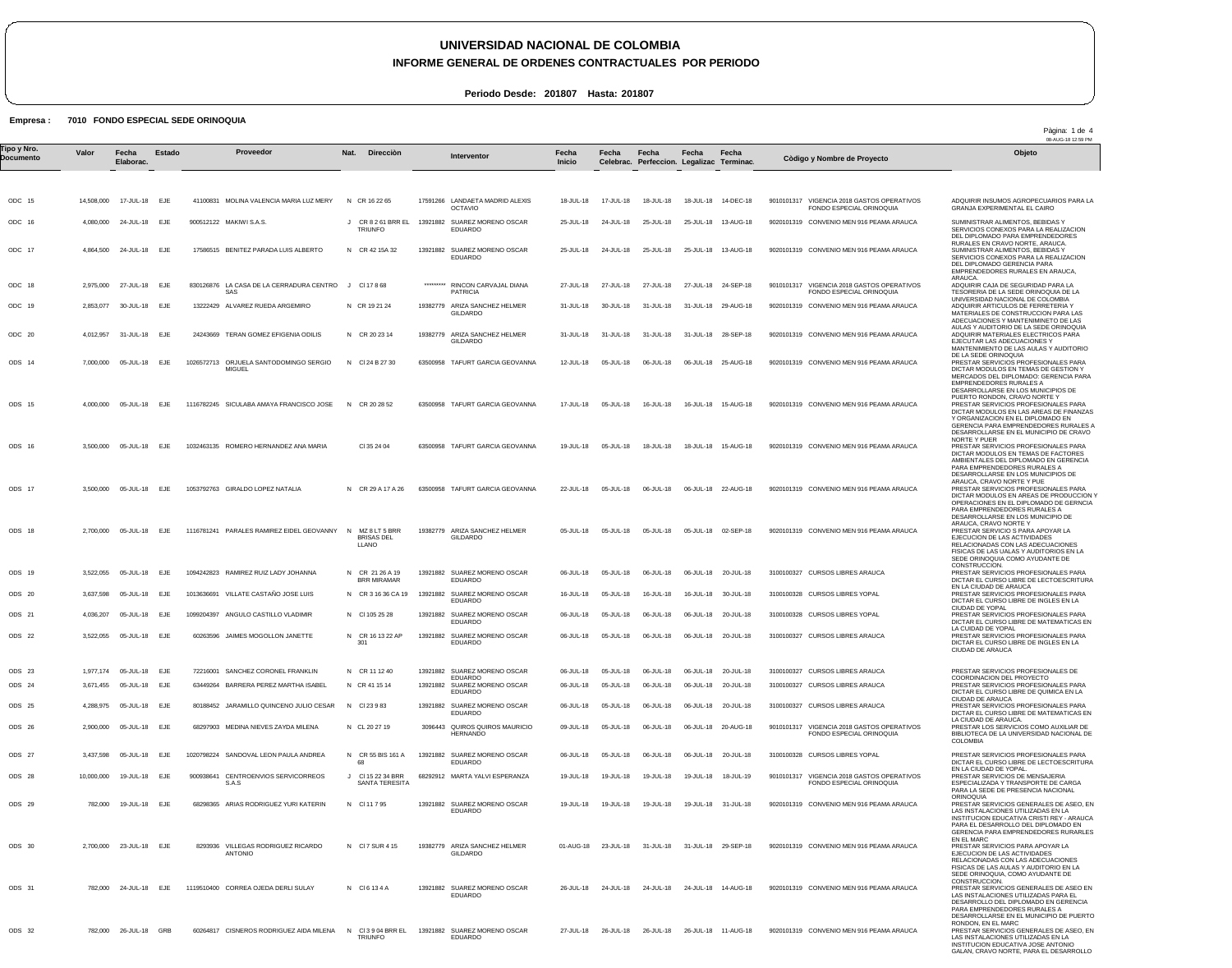### **UNIVERSIDAD NACIONAL DE COLOMBIA INFORME GENERAL DE ORDENES CONTRACTUALES POR PERIODO**

**Periodo Desde: 201807 Hasta: 201807**

### **Empresa : 7010 FONDO ESPECIAL SEDE ORINOQUIA**

**Valor**

ODC 15 ODC 16

ODC 17

ODC 18 ODC 19

ODC 20

ODS 14

ODS 15

ODS 16

ODS 17

ODS 18

ODS 19 ODS 20 ODS 21 ODS 22

ODS 23 ODS 24 ODS 25 ODS 26 1,977,174

782,000 24-JUL-18 EJE

1119510400 CORREA OJEDA DERLI SULAY

782,000 26-JUL-18 GRB

ODS 27 ODS 28

ODS 29

ODS 30

ODS 31

ODS 32

 14,508,000 4,080,000 4,864,500 24-JUL-18 EJE 2,975,000 2,853,077 4,012,957 7,000,000 4,000,000 05-JUL-18 EJE 3,500,000 05-JUL-18 EJE 3,500,000 2,700,000 05-JUL-18 3,522,055 05-JUL-18 EJE 3,637,598 4,036,207 3,522,055 05-JUL-18 EJE 3,671,455 4,288,975 2,900,000 05-JUL-18 EJE 3,437,598 10,000,000 782,000 2,700,000 23-JUL-18 EJE 17-JUL-18 24-JUL-18 27-JUL-18 30-JUL-18 31-JUL-18 05-JUL-18 05-JUL-18 05-JUL-18 05-JUL-18 05-JUL-18 05-JUL-18 05-JUL-18 05-JUL-18 19-JUL-18 19-JUL-18 EJE **Fecha Elaborac.** EJE EJE EJE EJE EJE EJE EJE EJE EJE EJE EJE EJE EJE EJE EJE **Estado** 41100831 MOLINA VALENCIA MARIA LUZ MERY 900512122 MAKIWI S.A.S. 17586515 BENITEZ PARADA LUIS ALBERTO 830126876 LA CASA DE LA CERRADURA CENTRO 13222429 ALVAREZ RUEDA ARGEMIRO 24243669 TERAN GOMEZ EFIGENIA ODILIS 1026572713 ORJUELA SANTODOMINGO SERGIO 1116782245 SICULABA AMAYA FRANCISCO JOSE N CR 20 28 52 1032463135 ROMERO HERNANDEZ ANA MARIA 1053792763 GIRALDO LOPEZ NATALIA 1116781241 PARALES RAMIREZ EIDEL GEOVANNY 1094242823 RAMIREZ RUIZ LADY JOHANNA 1013636691 VILLATE CASTAÑO JOSE LUIS 1099204397 ANGULO CASTILLO VLADIMIR 60263596 JAIMES MOGOLLON JANETTE 72216001 SANCHEZ CORONEL FRANKLIN 63449264 BARRERA PEREZ MARTHA ISABEL 80188452 JARAMILLO QUINCENO JULIO CESAR 68297903 MEDINA NIEVES ZAYDA MILENA 1020798224 SANDOVAL LEON PAULA ANDREA 900938641 CENTROENVIOS SERVICORREOS 68298365 ARIAS RODRIGUEZ YURI KATERIN 8293936 VILLEGAS RODRIGUEZ RICARDO SAS **MIGUEL** S.A.S ANTONIO N CR 16 22 65 J CR 8 2 61 BRR EL 13921882 SUAREZ MORENO OSCAR N CR 42 15A 32 J Cl 17 8 68 N CR 19 21 24 N CR 20 23 14 N Cl 24 B 27 30 N CR 29 A 17 A 26 N N CR 21 26 A 19 BRR MIRAMAR N CR 3 16 36 CA 19 N Cl 105 25 28 N CR 16 13 22 AP N CR 11 12 40 N CR 41 15 14 N Cl 23 9 83 N CL 20 27 19 N CR 55 BIS 161 A J Cl 15 22 34 BRR N Cl 11 7 95 N Cl 7 SUR 4 15 **Nat. Direcciòn** TRIUNFO Cl 35 24 04 MZ 8 LT 5 BRR BRISAS DEL LLANO 301 68 SANTA TERESITA 17591266 LANDAETA MADRID ALEXIS 13921882 SUAREZ MORENO OSCAR \*\*\*\*\*\*\*\*\* 19382779 ARIZA SANCHEZ HELMER 19382779 ARIZA SANCHEZ HELMER 63500958 TAFURT GARCIA GEOVANNA 63500958 TAFURT GARCIA GEOVANNA 63500958 TAFURT GARCIA GEOVANNA 63500958 TAFURT GARCIA GEOVANNA 19382779 ARIZA SANCHEZ HELMER 13921882 SUAREZ MORENO OSCAR 13921882 SUAREZ MORENO OSCAR EDUARDO 13921882 SUAREZ MORENO OSCAR EDUARDO 13921882 SUAREZ MORENO OSCAR 13921882 13921882 13921882 SUAREZ MORENO OSCAR 3096443 QUIROS QUIROS MAURICIO 13921882 SUAREZ MORENO OSCAR EDUARDO 68292912 MARTA YALVI ESPERANZA 13921882 SUAREZ MORENO OSCAR 19382779 ARIZA SANCHEZ HELMER OCTAVIO EDUARDO EDUARDO RINCON CARVAJAL DIANA **PATRICIA** GILDARDO GILDARDO GILDARDO EDUARDO **EDUARDC** SUAREZ MORENO OSCAR EDUARDO SUAREZ MORENO OSCAR EDUARDO EDUARDO **HERNANDO** EDUARDO GILDARDO 18-JUL-18 25-JUL-18 25-JUL-18 27-JUL-18 31-JUL-18 31-JUL-18 12-JUL-18 17-JUL-18 19-JUL-18 22-JUL-18 05-JUL-18 06-JUL-18 16-JUL-18 06-JUL-18 06-JUL-18 06-JUL-18 06-JUL-18 06-JUL-18 09-JUL-18 06-JUL-18 19-JUL-18 19-JUL-18 01-AUG-18 26-JUL-18 **Fecha Inicio** 17-JUL-18 24-JUL-18 24-JUL-18 27-JUL-18 30-JUL-18 31-JUL-18 05-JUL-18 05-JUL-18 05-JUL-18 05-JUL-18 05-JUL-18 05-JUL-18 05-JUL-18 05-JUL-18 05-JUL-18 05-JUL-18 05-JUL-18 05-JUL-18 05-JUL-18 05-JUL-18 19-JUL-18 19-JUL-18 23-JUL-18 31-JUL-18 31-JUL-18 29-SEP-18 **Fecha Celebrac.** 18-JUL-18 25-JUL-18 25-JUL-18 25-JUL-18 13-AUG-18 27-JUL-18 31-JUL-18 31-JUL-18 06-JUL-18 16-JUL-18 18-JUL-18 18-JUL-18 15-AUG-18 06-JUL-18 05-JUL-18 06-JUL-18 16-JUL-18 06-JUL-18 06-JUL-18 06-JUL-18 06-JUL-18 06-JUL-18 06-JUL-18 06-JUL-18 19-JUL-18 19-JUL-18 **Fecha Perfeccion. Legalizac Terminac.** 18-JUL-18 14-DEC-18 25-JUL-18 13-AUG-18 27-JUL-18 24-SEP-18 31-JUL-18 29-AUG-18 31-JUL-18 28-SEP-18 06-JUL-18 25-AUG-18 16-JUL-18 15-AUG-18 06-JUL-18 22-AUG-18 05-JUL-18 02-SEP-18 06-JUL-18 20-JUL-18 16-JUL-18 30-JUL-18 06-JUL-18 20-JUL-18 06-JUL-18 20-JUL-18 06-JUL-18 06-JUL-18 20-JUL-18 06-JUL-18 20-JUL-18 06-JUL-18 20-AUG-18 06-JUL-18 20-JUL-18 19-JUL-18 18-JUL-19 19-JUL-18 31-JUL-18 **Fecha** 20-JUL-18 **Fecha** 9010101317 VIGENCIA 2018 GASTOS OPERATIVOS 9020101319 CONVENIO MEN 916 PEAMA ARAUCA 9020101319 CONVENIO MEN 916 PEAMA ARAUCA 9010101317 VIGENCIA 2018 GASTOS OPERATIVOS 9020101319 CONVENIO MEN 916 PEAMA ARAUCA 9020101319 CONVENIO MEN 916 PEAMA ARAUCA 9020101319 CONVENIO MEN 916 PEAMA ARAUCA 9020101319 CONVENIO MEN 916 PEAMA ARAUCA 9020101319 CONVENIO MEN 916 PEAMA ARAUCA 9020101319 CONVENIO MEN 916 PEAMA ARAUCA 9020101319 CONVENIO MEN 916 PEAMA ARAUCA 3100100327 CURSOS LIBRES ARAUCA 3100100328 CURSOS LIBRES YOPAL 3100100328 CURSOS LIBRES YOPAL 3100100327 CURSOS LIBRES ARAUCA 3100100327 CURSOS LIBRES ARAUCA 3100100327 CURSOS LIBRES ARAUCA 3100100327 CURSOS LIBRES ARAUCA 9010101317 VIGENCIA 2018 GASTOS OPERATIVOS 3100100328 CURSOS LIBRES YOPAL 9010101317 VIGENCIA 2018 GASTOS OPERATIVOS 9020101319 CONVENIO MEN 916 PEAMA ARAUCA 9020101319 CONVENIO MEN 916 PEAMA ARAUCA FONDO ESPECIAL ORINOQUIA FONDO ESPECIAL ORINOQUIA FONDO ESPECIAL ORINOQUIA FONDO ESPECIAL ORINOQUIA ADQUIRIR INSUMOS AGROPECUARIOS PARA LA GRANJA EXPERIMENTAL EL CAIRO SUMINISTRAR ALIMENTOS, BEBIDAS Y SERVICIOS CONEXOS PARA LA REALIZACION DEL DIPLOMADO PARA EMPRENDEDORES RURALES EN CRAVO NORTE, ARAUCA. SUMINISTRAR ALIMENTOS, BEBIDAS Y SERVICIOS CONEXOS PARA LA REALIZACION DEL DIPLOMADO GERENCIA PARA EMPRENDEDORES RURALES EN ARAUCA, ARAUCA. ADQUIRIR CAJA DE SEGURIDAD PARA LA TESORERIA DE LA SEDE ORINOQUIA DE LA UNIVERSIDAD NACIONAL DE COLOMBIA ADQUIRIR ARTICULOS DE FERRETERIA Y MATERIALES DE CONSTRUCCION PARA LAS ADECUACIONES Y MANTENIMINETO DE LAS AULAS Y AUDITORIO DE LA SEDE ORINOQUIA ADQUIRIR MATERIALES ELECTRICOS PARA EJECUTAR LAS ADECUACIONES Y<br>MANTENIMIENTO DE LAS AULAS Y AUDITORIO<br>DE LA SEDE ORINOQUIA<br>PRESTAR SERVICIOS PROFESIONALES PARA DICTAR MODULOS EN TEMAS DE GESTION Y MERCADOS DEL DIPLOMADO: GERENCIA PARA EMPRENDEDORES RURALES A DESARROLLARSE EN LOS MUNICIPIOS DE PUERTO RONDON, CRAVO NORTE Y PRESTAR SERVICIOS PROFESIONALES PARA DICTAR MODULOS EN LAS AREAS DE FINANZAS Y ORGANIZACION EN EL DIPLOMADO EN GERENCIA PARA EMPRENDEDORES RURALES A DESARROLLARSE EN EL MUNICIPIO DE CRAVO NORTE Y PUER PRESTAR SERVICIOS PROFESIONALES PARA DICTAR MODULOS EN TEMAS DE FACTORES<br>AMBIENTALES DEL DIPLOMADO EN GERENCIA<br>PARA EMPRENDEDORES RURALES A<br>DESARROLLARSE EN LOS MUNICIPIOS DE<br>ARAUCA, CRAVO NORTE Y PUE PRESTAR SERVICIOS PROFESIONALES PARA DICTAR MODULOS EN AREAS DE PRODUCCION Y OPERACIONES EN EL DIPLOMADO DE GERNCIA<br>PARA EMPRENDEDORES RURALES A<br>DESARROLLARSE EN LOS MUNICIPIO DE<br>ARAUCA, CRAVO NORTE Y ARAUCA, CRAVO NORTE T<br>PRESTAR SERVICIO S PARA APOYAR LA<br>EJECUCION DE LAS ACTIVIDADES EJECUCION DE LAS ACTIVIDADES<br>RELACIONADAS CON LAS ADECUACIONES<br>FISICAS DE LAS UALAS Y AUDITORIOS EN LA<br>SEDE ORINOQUIA COMO AYUDANTE DE CONSTRUCCION. PRESTAR SERVICIOS PROFESIONALES PARA DICTAR EL CURSO LIBRE DE LECTOESCRITURA EN LA CIUDAD DE ARAUCA PRESTAR SERVICIOS PROFESIONALES PARA DICTAR EL CURSO LIBRE DE INGLES EN LA CIUDAD DE YOPAL PRESTAR SERVICIOS PROFESIONALES PARA DICTAR EL CURSO LIBRE DE MATEMATICAS EN LA CUIDAD DE YOPAL PRESTAR SERVICIOS PROFESIONALES PARA DICTAR EL CURSO LIBRE DE INGLES EN LA CIUDAD DE ARAUCA PRESTAR SERVICIOS PROFESIONALES DE COORDINACION DEL PROYECTO PRESTAR SERVICIOS PROFESIONALES PARA DICTAR EL CURSO LIBRE DE QUIMICA EN LA<br>CIUDAD DE ARALICA CIUDAD DE ARAUCA PRESTAR SERVICIOS PROFESIONALES PARA DICTAR EL CURSO LIBRE DE MATEMATICAS EN LA CIUDAD DE ARAUCA. PRESTAR LOS SERVICIOS COMO AUXILIAR DE BIBLIOTECA DE LA UNIVERSIDAD NACIONAL DE COLOMBIA PRESTAR SERVICIOS PROFESIONALES PARA DICTAR EL CURSO LIBRE DE LECTOESCRITURA EN LA CIUDAD DE YOPAL. PRESTAR SERVICIOS DE MENSAJERIA ESPECIALIZADA Y TRANSPORTE DE CARGA PARA LA SEDE DE PRESENCIA NACIONAL ORINOQUIA PRESTAR SERVICIOS GENERALES DE ASEO, EN LAS INSTALACIONES UTILIZADAS EN LA INSTITUCION EDUCATIVA CRISTI REY - ARAUCA PARA EL DESARROLLO DEL DIPLOMADO EN GERENCIA PARA EMPRENDEDORES RURARLES EN EL MARC PRESTAR SERVICIOS PARA APOYAR LA EJECUCION DE LAS ACTIVIDADES<br>RELACIONADAS CON LAS ADECUACIONES<br>FISICAS DE LAS AULAS Y AUDITORIO EN LA<br>SEDE ORINOQUIA, COMO AYUDANTE DE<br>CONSTRUCCION.<br>PRESTAR SERVICIOS GENERALES DE ASEO EN Tipo y Nro.<br>"Province a Valor Fecha Estado Proveedor Nat. Direcciòn Interventor Fecha Fecha Fecha Fecha Computer a variante i a computator a variante del Dijeto **Documento Proveedor Interventor Còdigo y Nombre de Proyecto**

> CISNEROS RODRIGUEZ AIDA MILENA N Cl 3 9 04 BRR EL SUAREZ MORENO OSCAR 27-JUL-18 26-JUL-18 26-JUL-18 26-JUL-18 11-AUG-18 CONVENIO MEN 916 PEAMA ARAUCA

13921882 SUAREZ MORENO OSCAR

EDUARDO

TRIUNFO EDUARDO

N Cl 6 13 4 A

9020101319 CONVENIO MEN 916 PEAMA ARAUCA

24-JUL-18 24-JUL-18 24-JUL-18 14-AUG-18

LAS INSTALACIONES UTILIZADAS PARA EL<br>DESARROLLO DEL DIPLOMADO EN GERENCIA<br>PARA EMPRENDEDORES RURALES A<br>DESARROLLARSE EN EL MUNICIPIO DE PUERTO<br>RONDON, EN EL MARC<br>PRESTAR SERVICIOS GENERALES DE ASEO, EN LAS INSTALACIONES UTILIZADAS EN LA INSTITUCION EDUCATIVA JOSE ANTONIO GALAN, CRAVO NORTE, PARA EL DESARROLLO

08-AUG-18 12:59 PM

Pàgina: 1 de 4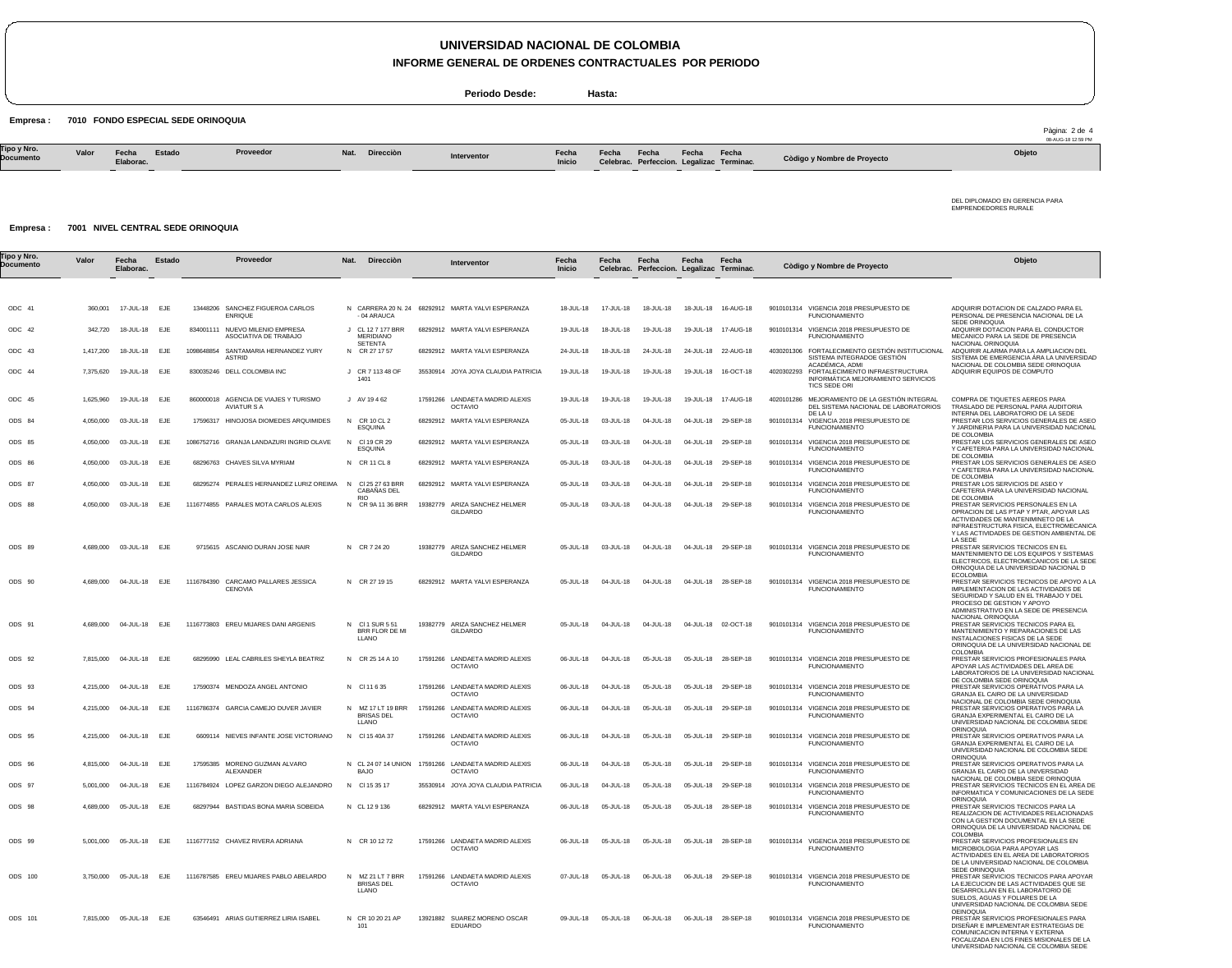## **UNIVERSIDAD NACIONAL DE COLOMBIA**

**INFORME GENERAL DE ORDENES CONTRACTUALES POR PERIODO**

**Periodo Desde: Hasta:**

Empresa : 7010 FONDO ESPECIAL SEDE ORINOQUIA

|                          |       |                    |        |           |                |             |                 |       |       |       |                                                    |                             | 3-AUG-18 12:59 PM |
|--------------------------|-------|--------------------|--------|-----------|----------------|-------------|-----------------|-------|-------|-------|----------------------------------------------------|-----------------------------|-------------------|
| Tipo y Nro.<br>Documento | Valor | Fecha<br>Elaborac. | Estado | Proveedor | Nat. Direcciòn | Interventor | Fecha<br>Inicio | Fecha | Fecha | Fecha | Fecha<br>Celebrac. Perfeccion. Legalizac Terminac. | Còdigo y Nombre de Proyecto | Objeto            |

DEL DIPLOMADO EN GERENCIA PARA EMPRENDEDORES RURALE

Pàgina: 2 de 4

#### Empresa : 7001 NIVEL CENTRAL SEDE ORINOQUIA

| ⊺ipo y Nro.<br>Documento | Valor     | Fecha<br>Elaborac.      | Estado     | Proveedor                                                      | Nat.<br>Direcciòn                               | Interventor                                                           | Fecha<br>Inicio | Fecha                | Fecha<br>Celebrac. Perfeccion. Legalizac Terminac. | Fecha           | Fecha               | Còdigo y Nombre de Proyecto                                                                          | Objeto                                                                                                                                                                                                                     |
|--------------------------|-----------|-------------------------|------------|----------------------------------------------------------------|-------------------------------------------------|-----------------------------------------------------------------------|-----------------|----------------------|----------------------------------------------------|-----------------|---------------------|------------------------------------------------------------------------------------------------------|----------------------------------------------------------------------------------------------------------------------------------------------------------------------------------------------------------------------------|
|                          |           |                         |            |                                                                |                                                 |                                                                       |                 |                      |                                                    |                 |                     |                                                                                                      |                                                                                                                                                                                                                            |
| ODC 41                   | 360,001   | 17-JUL-18               | <b>EJE</b> | 13448206 SANCHEZ FIGUEROA CARLOS<br><b>ENRIQUE</b>             | - 04 ARAUCA                                     | N CARRERA 20 N. 24 68292912 MARTA YALVI ESPERANZA                     | 18-JUL-18       | 17-JUL-18            | 18-JUL-18                                          | 18-JUL-18       | 16-AUG-18           | 9010101314 VIGENCIA 2018 PRESUPUESTO DE<br><b>FUNCIONAMIENTO</b>                                     | ADQUIRIR DOTACION DE CALZADO PARA EL<br>PERSONAL DE PRESENCIA NACIONAL DE LA<br>SEDE ORINOQUIA                                                                                                                             |
| ODC 42                   | 342,720   | 18-JUL-18               | EJE        | 834001111 NUEVO MILENIO EMPRESA<br>ASOCIATIVA DE TRABAJO       | J CL 12 7 177 BRR<br>MERIDIANO                  | 68292912 MARTA YALVI ESPERANZA                                        | 19-JUL-18       | 18-JUL-18            | 19-JUL-18                                          | 19-JUL-18       | 17-AUG-18           | 9010101314 VIGENCIA 2018 PRESUPUESTO DE<br><b>FUNCIONAMIENTO</b>                                     | ADQUIRIR DOTACION PARA EL CONDUCTOR<br>MECANICO PARA LA SEDE DE PRESENCIA                                                                                                                                                  |
| ODC 43                   | 1,417,200 | 18-JUL-18               | EJE        | 1098648854<br>SANTAMARIA HERNANDEZ YURY<br><b>ASTRID</b>       | SETENTA<br>N CR 27 17 57                        | 68292912 MARTA YALVI ESPERANZA                                        | 24-JUL-18       | 18-JUL-18            | 24-JUL-18                                          |                 | 24-JUL-18 22-AUG-18 | 4030201306 FORTALECIMIENTO GESTIÓN INSTITUCIONAL<br>SISTEMA INTEGRADOE GESTIÓN<br>ACADÉMICA, ADMI    | NACIONAL ORINOQUIA<br>ADQUIRIR ALARMA PARA LA AMPLIACION DEL<br>SISTEMA DE EMERGENCIA ÁRA LA UNIVERSIDAD<br>NACIONAL DE COLOMBIA SEDE ORINOQUIA                                                                            |
| ODC 44                   | 7,375,620 | 19-JUL-18               | EJE        | 830035246 DELL COLOMBIA INC                                    | J CR 7 113 48 OF<br>1401                        | 35530914 JOYA JOYA CLAUDIA PATRICIA                                   | 19-JUL-18       | 19-JUL-18            | 19-JUL-18                                          | 19-JUL-18       | 16-OCT-18           | 4020302293<br>FORTALECIMIENTO INFRAESTRUCTURA<br>INFORMÁTICA MEJORAMIENTO SERVICIOS<br>TICS SEDE ORI | ADQUIRIR EQUIPOS DE COMPUTO                                                                                                                                                                                                |
| ODC 45                   | 1,625,960 | 19-JUL-18               | EJE        | 860000018<br>AGENCIA DE VIAJES Y TURISMO<br><b>AVIATUR S A</b> | J AV 19462                                      | 17591266 LANDAETA MADRID ALEXIS<br><b>OCTAVIO</b>                     | $19 - 111 - 18$ | 19-JUL-18            | $19 - 111 - 18$                                    | $19 - 111 - 18$ | 17-AUG-18           | 4020101286 MEJORAMIENTO DE LA GESTIÓN INTEGRAL<br>DEL SISTEMA NACIONAL DE LABORATORIOS               | COMPRA DE TIQUETES AEREOS PARA<br>TRASLADO DE PERSONAL PARA AUDITORIA                                                                                                                                                      |
| ODS 84                   | 4,050,000 | 03-JUL-18               | EJE        | 17596317 HINOJOSA DIOMEDES ARQUIMIDES                          | N CR 10 CL 2<br>ESQUINA                         | 68292912 MARTA YALVI ESPERANZA                                        | 05-JUL-18       | 03-JUL-18            | 04-JUL-18                                          | 04-JUL-18       | 29-SEP-18           | DE LA U<br>9010101314<br>VIGENCIA 2018 PRESUPUESTO DE<br><b>FUNCIONAMIENTO</b>                       | INTERNA DEL LABORATORIO DE LA SEDE<br>PRESTAR LOS SERVICIOS GENERALES DE ASEO<br>Y JARDINERIA PARA LA UNIVERSIDAD NACIONAL                                                                                                 |
| ODS 85                   | 4,050,000 | 03-JUL-18               | EJE        | 1086752716 GRANJA LANDAZURI INGRID OLAVE                       | N CI 19 CR 29<br>ESQUINA                        | 68292912 MARTA YALVI ESPERANZA                                        | 05-JUL-18       | 03-JUL-18            | 04-JUL-18                                          | 04-JUL-18       | 29-SEP-18           | 9010101314 VIGENCIA 2018 PRESUPUESTO DE<br><b>FUNCIONAMIENTO</b>                                     | DE COLOMBIA<br>PRESTAR LOS SERVICIOS GENERALES DE ASEO<br>Y CAFETERIA PARA LA UNIVERSIDAD NACIONAL                                                                                                                         |
| ODS 86                   | 4,050,000 | 03-JUL-18               | EJE        | 68296763 CHAVES SILVA MYRIAM                                   | N CR 11 CL 8                                    | 68292912 MARTA YALVI ESPERANZA                                        | 05-JUL-18       | 03-JUL-18            | 04-JUL-18                                          | 04-JUL-18       | 29-SEP-18           | 9010101314 VIGENCIA 2018 PRESUPUESTO DE<br><b>FUNCIONAMIENTO</b>                                     | DE COLOMBIA<br>PRESTAR LOS SERVICIOS GENERALES DE ASEO<br>Y CAFETERIA PARA LA UNIVERSIDAD NACIONAL<br>DE COLOMBIA                                                                                                          |
| ODS 87                   | 4,050,000 | 03-JUL-18               | EJE        | 68295274 PERALES HERNANDEZ LURIZ OREIMA                        | CI 25 27 63 BRR<br><b>N</b><br>CABAÑAS DEL      | 68292912 MARTA YALVI ESPERANZA                                        | 05-JUL-18       | 03-JUL-18            | 04-JUL-18                                          | 04-JUL-18       | 29-SEP-18           | 9010101314 VIGENCIA 2018 PRESUPUESTO DE<br><b>FUNCIONAMIENTO</b>                                     | PRESTAR LOS SERVICIOS DE ASEO Y<br>CAFETERIA PARA LA UNIVERSIDAD NACIONAL                                                                                                                                                  |
| ODS 88                   | 4,050,000 | 03-JUL-18               | EJE        | 1116774855 PARALES MOTA CARLOS ALEXIS                          | <b>RIO</b><br>N CR 9A 11 36 BRR                 | 19382779 ARIZA SANCHEZ HELMER<br><b>GILDARDO</b>                      | 05-JUL-18       | 03-JUL-18            | 04-JUL-18                                          | 04-JUL-18       | 29-SEP-18           | 9010101314 VIGENCIA 2018 PRESUPUESTO DE<br><b>FUNCIONAMIENTO</b>                                     | DE COLOMBIA<br>PRESTAR SERVICIOS PERSONALES EN LA<br>OPRACION DE LAS PTAP Y PTAR, APOYAR LAS<br>ACTIVIDADES DE MANTENIMINETO DE LA<br>INFRAESTRUCTURA FISICA, ELECTROMECANICA<br>Y LAS ACTIVIDADES DE GESTION AMBIENTAL DE |
| ODS 89                   |           | 4,689,000 03-JUL-18     | EJE        | 9715615 ASCANIO DURAN JOSE NAIR                                | N CR 7 24 20                                    | 19382779 ARIZA SANCHEZ HELMER<br><b>GILDARDO</b>                      | 05-JUL-18       | 03-JUL-18            | 04-JUL-18                                          | 04-JUL-18       | 29-SEP-18           | 9010101314 VIGENCIA 2018 PRESUPUESTO DE<br><b>FUNCIONAMIENTO</b>                                     | LA SEDE<br>PRESTAR SERVICIOS TECNICOS EN EL<br>MANTENIMIENTO DE LOS EQUIPOS Y SISTEMAS<br>ELECTRICOS. ELECTROMECANICOS DE LA SEDE<br>ORNOQUIA DE LA UNIVERSIDAD NACIONAL D<br><b>ECOLOMBIA</b>                             |
| ODS 90                   | 4,689,000 | 04-JUL-18               | EJE        | CARCAMO PALLARES JESSICA<br>1116784390<br><b>CENOVIA</b>       | N CR 27 19 15                                   | 68292912 MARTA YALVI ESPERANZA                                        | 05-JUL-18       | 04-JUL-18            | 04-JUL-18                                          | 04-JUL-18       | 28-SEP-18           | 9010101314 VIGENCIA 2018 PRESUPUESTO DE<br><b>FUNCIONAMIENTO</b>                                     | PRESTAR SERVICIOS TECNICOS DE APOYO A LA<br>IMPLEMENTACION DE LAS ACTIVIDADES DE<br>SEGURIDAD Y SALUD EN EL TRABAJO Y DEL<br>PROCESO DE GESTION Y APOYO<br>ADMINISTRATIVO EN LA SEDE DE PRESENCIA<br>NACIONAL ORINOQUIA    |
| ODS 91                   |           | 4,689,000 04-JUL-18     | EJE        | 1116773803 EREU MIJARES DANI ARGENIS                           | N CI1 SUR 551<br>BRR FLOR DE MI<br>LLANO        | 19382779 ARIZA SANCHEZ HELMER<br><b>GILDARDO</b>                      | 05-JUL-18       | 04-JUL-18            | 04-JUL-18                                          | 04-JUL-18       | 02-OCT-18           | 9010101314 VIGENCIA 2018 PRESUPUESTO DE<br><b>FUNCIONAMIENTO</b>                                     | PRESTAR SERVICIOS TECNICOS PARA EL<br>MANTENIMIENTO Y REPARACIONES DE LAS<br>INSTALACIONES FISICAS DE LA SEDE<br>ORINOQUIA DE LA UNIVERSIDAD NACIONAL DE<br><b>COLOMBIA</b>                                                |
| ODS 92                   |           | 7,815,000 04-JUL-18 EJE |            | 68295990 LEAL CABRILES SHEYLA BEATRIZ                          | N CR 25 14 A 10                                 | 17591266 LANDAETA MADRID ALEXIS<br><b>OCTAVIO</b>                     | 06-JUL-18       | 04-JUL-18            | 05-JUL-18                                          |                 | 05-JUL-18 28-SEP-18 | 9010101314 VIGENCIA 2018 PRESUPUESTO DE<br><b>FUNCIONAMIENTO</b>                                     | PRESTAR SERVICIOS PROFESIONALES PARA<br>APOYAR LAS ACTIVIDADES DEL AREA DE<br>LABORATORIOS DE LA UNIVERSIDAD NACIONAL<br>DE COLOMBIA SEDE ORINOQUIA                                                                        |
| ODS 93                   | 4,215,000 | 04-JUL-18               | EJE        | 17590374 MENDOZA ANGEL ANTONIO                                 | N CI 11 6 35                                    | 17591266 LANDAETA MADRID ALEXIS<br><b>OCTAVIO</b>                     | 06-JUL-18       | 04-JUL-18            | 05-JUL-18                                          | 05-JUL-18       | 29-SEP-18           | 9010101314 VIGENCIA 2018 PRESUPUESTO DE<br><b>FUNCIONAMIENTO</b>                                     | PRESTAR SERVICIOS OPERATIVOS PARA LA<br>GRANJA EL CAIRO DE LA UNIVERSIDAD                                                                                                                                                  |
| ODS 94                   | 4,215,000 | 04-JUL-18               | EJE        | 1116786374 GARCIA CAMEJO DUVER JAVIER                          | N MZ 17 LT 19 BRR<br><b>BRISAS DEL</b><br>LLANO | 17591266 LANDAETA MADRID ALEXIS<br><b>OCTAVIO</b>                     | 06-JUL-18       | 04-JUL-18            | 05-JUL-18                                          | 05-JUL-18       | 29-SEP-18           | 9010101314 VIGENCIA 2018 PRESUPUESTO DE<br><b>FUNCIONAMIENTO</b>                                     | NACIONAL DE COLOMBIA SEDE ORINOQUIA<br>PRESTAR SERVICIOS OPERATIVOS PARA LA<br>GRANJA EXPERIMENTAL EL CAIRO DE LA<br>UNIVERSIDAD NACIONAL DE COLOMBIA SEDE                                                                 |
| ODS 95                   | 4,215,000 | 04-JUL-18               | EJE        | 6609114 NIEVES INFANTE JOSE VICTORIANO                         | N<br>CI 15 40A 37                               | 17591266 LANDAETA MADRID ALEXIS<br><b>OCTAVIO</b>                     | 06-JUL-18       | 04-JUL-18            | 05-JUL-18                                          | 05-JUL-18       | 29-SEP-18           | 9010101314 VIGENCIA 2018 PRESUPUESTO DE<br><b>FUNCIONAMIENTO</b>                                     | <b>ORINOQUIA</b><br>PRESTAR SERVICIOS OPERATIVOS PARA LA<br>GRANJA EXPERIMENTAL EL CAIRO DE LA<br>UNIVERSIDAD NACIONAL DE COLOMBIA SEDE                                                                                    |
| ODS 96                   | 4,815,000 | 04-JUL-18               | EJE        | 17595385<br>MORENO GUZMAN ALVARO<br>ALEXANDER                  | <b>BAJO</b>                                     | N CL 24 07 14 UNION 17591266 LANDAETA MADRID ALEXIS<br><b>OCTAVIO</b> | 06-JUL-18       | 04-JUL-18            | 05-JUL-18                                          | 05-JUL-18       | 29-SEP-18           | 9010101314 VIGENCIA 2018 PRESUPUESTO DE<br><b>FUNCIONAMIENTO</b>                                     | <b>ORINOQUIA</b><br>PRESTAR SERVICIOS OPERATIVOS PARA LA<br>GRANJA EL CAIRO DE LA UNIVERSIDAD                                                                                                                              |
| ODS 97                   |           | 5,001,000 04-JUL-18     | EJE        | 1116784924 LOPEZ GARZON DIEGO ALEJANDRO                        | N CI 15 35 17                                   | 35530914 JOYA JOYA CLAUDIA PATRICIA                                   | 06-JUL-18       | 04-JUL-18            | 05-JUL-18                                          | 05-JUL-18       | 29-SEP-18           | 9010101314 VIGENCIA 2018 PRESUPUESTO DE<br><b>FUNCIONAMIENTO</b>                                     | NACIONAL DE COLOMBIA SEDE ORINOQUIA<br>PRESTAR SERVICIOS TECNICOS EN EL AREA DE<br>INFORMATICA Y COMUNICACIONES DE LA SEDE                                                                                                 |
| ODS 98                   |           | 4,689,000 05-JUL-18 EJE |            | 68297944 BASTIDAS BONA MARIA SOBEIDA                           | N CL 12 9 136                                   | 68292912 MARTA YALVI ESPERANZA                                        |                 | 06-JUL-18  05-JUL-18 | 05-JUL-18                                          |                 | 05-JUL-18 28-SEP-18 | 9010101314 VIGENCIA 2018 PRESUPUESTO DE<br><b>FUNCIONAMIENTO</b>                                     | ORINOQUIA<br>PRESTAR SERVICIOS TECNICOS PARA LA<br>REALIZACION DE ACTIVIDADES RELACIONADAS<br>CON LA GESTION DOCUMENTAL EN LA SEDE<br>ORINOQUIA DE LA UNIVERSIDAD NACIONAL DE                                              |
| ODS 99                   |           | 5,001,000 05-JUL-18 EJE |            | 1116777152 CHAVEZ RIVERA ADRIANA                               | N CR 10 12 72                                   | 17591266 LANDAETA MADRID ALEXIS<br><b>OCTAVIO</b>                     | 06-JUL-18       | 05-JUL-18            | 05-JUL-18                                          |                 | 05-JUL-18 28-SEP-18 | 9010101314 VIGENCIA 2018 PRESUPUESTO DE<br><b>FUNCIONAMIENTO</b>                                     | <b>COLOMBIA</b><br>PRESTAR SERVICIOS PROFESIONALES EN<br>MICROBIOLOGIA PARA APOYAR LAS<br>ACTIVIDADES EN EL AREA DE LABORATORIOS<br>DE LA UNIVERSIDAD NACIONAL DE COLOMBIA<br>SEDE ORINOQUIA                               |
| ODS 100                  |           | 3,750,000 05-JUL-18     | EJE        | 1116787585 EREU MIJARES PABLO ABELARDO                         | N MZ 21 LT 7 BRR<br><b>BRISAS DEL</b><br>LLANO  | 17591266 LANDAETA MADRID ALEXIS<br><b>OCTAVIO</b>                     | 07-JUL-18       | 05-JUL-18            | 06-JUL-18                                          |                 | 06-JUL-18 29-SEP-18 | 9010101314 VIGENCIA 2018 PRESUPUESTO DE<br><b>FUNCIONAMIENTO</b>                                     | PRESTAR SERVICIOS TECNICOS PARA APOYAR<br>LA EJECUCION DE LAS ACTIVIDADES QUE SE<br>DESARROLLAN EN EL LABORATORIO DE<br>SUELOS, AGUAS Y FOLIARES DE LA<br>UNIVERSIDAD NACIONAL DE COLOMBIA SEDE                            |
| ODS 101                  |           | 7,815,000 05-JUL-18 EJE |            | 63546491 ARIAS GUTIERREZ LIRIA ISABEL                          | N CR 10 20 21 AP<br>101                         | 13921882 SUAREZ MORENO OSCAR<br><b>EDUARDO</b>                        | 09-JUL-18       | 05-JUL-18            | 06-JUL-18                                          |                 | 06-JUL-18 28-SEP-18 | 9010101314 VIGENCIA 2018 PRESUPUESTO DE<br><b>FUNCIONAMIENTO</b>                                     | <b>OEINOQUIA</b><br>PRESTAR SERVICIOS PROFESIONALES PARA<br>DISEÑAR E IMPLEMENTAR ESTRATEGIAS DE<br>COMUNICACION INTERNA Y EXTERNA<br>FOCALIZADA EN LOS FINES MISIONALES DE LA<br>UNIVERSIDAD NACIONAL CE COLOMBIA SEDE    |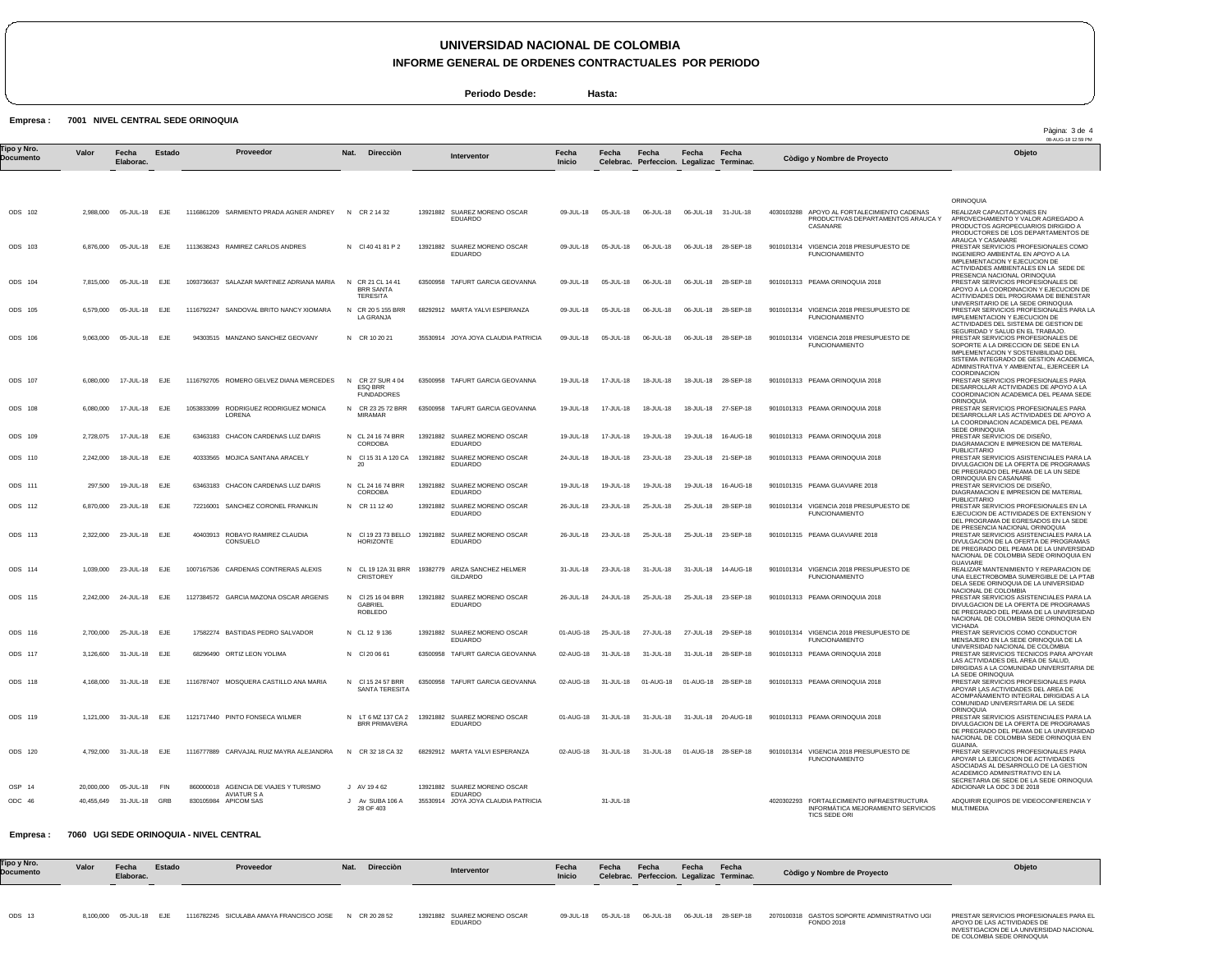# **UNIVERSIDAD NACIONAL DE COLOMBIA**

**INFORME GENERAL DE ORDENES CONTRACTUALES POR PERIODO**

**Periodo Desde: Hasta:**

#### Empresa : 7001 NIVEL CENTRAL SEDE ORINOQUIA

| lipo y Nro.    | Valor     | Fecha                   | Estado | Proveedor                                                   | Direcciòn<br>Nat.                                     | <b>Interventor</b>                                          | Fecha         | Fecha               | Fecha                                     | Fecha               | Fecha               |                                                                                                   | 08-AUG-18 12:59 PM<br>Objeto                                                                                                                                                                                                                |
|----------------|-----------|-------------------------|--------|-------------------------------------------------------------|-------------------------------------------------------|-------------------------------------------------------------|---------------|---------------------|-------------------------------------------|---------------------|---------------------|---------------------------------------------------------------------------------------------------|---------------------------------------------------------------------------------------------------------------------------------------------------------------------------------------------------------------------------------------------|
| Documento      |           | Elaborac.               |        |                                                             |                                                       |                                                             | <b>Inicio</b> |                     | Celebrac. Perfeccion. Legalizac Terminac. |                     |                     | Còdigo y Nombre de Proyecto                                                                       |                                                                                                                                                                                                                                             |
|                |           |                         |        |                                                             |                                                       |                                                             |               |                     |                                           |                     |                     |                                                                                                   | <b>ORINOQUIA</b>                                                                                                                                                                                                                            |
| ODS 102        | 2,988,000 | 05-JUL-18               | EJE    | 1116861209 SARMIENTO PRADA AGNER ANDREY                     | N<br>CR 2 14 32                                       | 13921882 SUAREZ MORENO OSCAR<br>EDUARDO                     | 09-JUL-18     | 05-JUL-18           | 06-JUL-18                                 |                     | 06-JUL-18 31-JUL-18 | 4030103288 APOYO AL FORTALECIMIENTO CADENAS<br>PRODUCTIVAS DEPARTAMENTOS ARAUCA Y<br>CASANARE     | REALIZAR CAPACITACIONES EN<br>APROVECHAMIENTO Y VALOR AGREGADO A<br>PRODUCTOS AGROPECUARIOS DIRIGIDO A<br>PRODUCTORES DE LOS DEPARTAMENTOS DE                                                                                               |
| ODS 103        |           | 6,876,000 05-JUL-18     | EJE    | 1113638243 RAMIREZ CARLOS ANDRES                            | N CI 40 41 81 P 2                                     | 13921882 SUAREZ MORENO OSCAR<br><b>EDUARDO</b>              | 09-JUL-18     | 05-JUL-18           | 06-JUL-18                                 |                     | 06-JUL-18 28-SEP-18 | 9010101314 VIGENCIA 2018 PRESUPUESTO DE<br><b>FUNCIONAMIENTO</b>                                  | ARAUCA Y CASANARE<br>PRESTAR SERVICIOS PROFESIONALES COMO<br>INGENIERO AMBIENTAL EN APOYO A LA<br>IMPLEMENTACION Y EJECUCION DE<br>ACTIVIDADES AMBIENTALES EN LA SEDE DE                                                                    |
| ODS 104        |           | 7,815,000 05-JUL-18     | EJE    | 1093736637 SALAZAR MARTINEZ ADRIANA MARIA                   | N CR 21 CL 14 41<br><b>BRR SANTA</b><br>TERESITA      | 63500958 TAFURT GARCIA GEOVANNA                             | 09-JUL-18     | 05-JUL-18           | 06-JUL-18                                 |                     | 06-JUL-18 28-SEP-18 | 9010101313 PEAMA ORINOQUIA 2018                                                                   | PRESENCIA NACIONAL ORINOQUIA<br>PRESTAR SERVICIOS PROFESIONALES DE<br>APOYO A LA COORDINACION Y EJECUCION DE<br>ACITIVIDADES DEL PROGRAMA DE BIENESTAR                                                                                      |
| ODS 105        |           | 6,579,000 05-JUL-18     | EJE    | 1116792247 SANDOVAL BRITO NANCY XIOMARA                     | N CR 20 5 155 BRR<br>LA GRANJA                        | 68292912 MARTA YALVI ESPERANZA                              | 09-JUL-18     | 05-JUL-18           | 06-JUL-18                                 |                     | 06-JUL-18 28-SEP-18 | 9010101314 VIGENCIA 2018 PRESUPUESTO DE<br><b>FUNCIONAMIENTO</b>                                  | UNIVERSITARIO DE LA SEDE ORINOQUIA<br>PRESTAR SERVICIOS PROFESIONALES PARA LA<br>IMPLEMENTACION Y EJECUCION DE<br>ACTIVIDADES DEL SISTEMA DE GESTION DE                                                                                     |
| ODS 106        | 9,063,000 | 05-JUL-18 EJE           |        | 94303515 MANZANO SANCHEZ GEOVANY                            | N CR 10 20 21                                         | 35530914 JOYA JOYA CLAUDIA PATRICIA                         | 09-JUL-18     | 05-JUL-18           | 06-JUL-18                                 | 06-JUL-18           | 28-SEP-18           | 9010101314 VIGENCIA 2018 PRESUPUESTO DE<br><b>FUNCIONAMIENTO</b>                                  | SEGURIDAD Y SALUD EN EL TRABAJO.<br>PRESTAR SERVICIOS PROFESIONALES DE<br>SOPORTE A LA DIRECCION DE SEDE EN LA<br>IMPLEMENTACION Y SOSTENIBILIDAD DEL<br>SISTEMA INTEGRADO DE GESTION ACADEMICA.<br>ADMINISTRATIVA Y AMBIENTAL, EJERCEER LA |
| ODS 107        | 6,080,000 | 17-JUL-18               | EJE    | 1116792705 ROMERO GELVEZ DIANA MERCEDES                     | N CR 27 SUR 4 04<br>ESQ BRR<br><b>FUNDADORES</b>      | 63500958 TAFURT GARCIA GEOVANNA                             | 19-JUL-18     | 17-JUL-18           | 18-JUL-18                                 | 18-JUL-18           | 28-SEP-18           | 9010101313 PEAMA ORINOQUIA 2018                                                                   | <b>COORDINACION</b><br>PRESTAR SERVICIOS PROFESIONALES PARA<br>DESARROLLAR ACTIVIDADES DE APOYO A LA<br>COORDINACION ACADEMICA DEL PEAMA SEDE                                                                                               |
| <b>ODS 108</b> | 6,080,000 | 17-JUL-18               | EJE    | 1053833099 RODRIGUEZ RODRIGUEZ MONICA<br>LORENA             | CR 23 25 72 BRR<br>N<br>MIRAMAR                       | 63500958 TAFURT GARCIA GEOVANNA                             | 19-JUL-18     | 17-JUL-18           | 18-JUL-18                                 | 18-JUL-18           | 27-SEP-18           | 9010101313 PEAMA ORINOQUIA 2018                                                                   | ORINOQUIA<br>PRESTAR SERVICIOS PROFESIONALES PARA<br>DESARROLLAR LAS ACTIVIDADES DE APOYO A<br>LA COORDINACION ACADEMICA DEL PEAMA                                                                                                          |
| ODS 109        | 2,728,075 | 17-JUL-18               | EJE    | 63463183 CHACON CARDENAS LUZ DARIS                          | N CL 24 16 74 BRR<br><b>CORDOBA</b>                   | 13921882 SUAREZ MORENO OSCAR<br><b>EDUARDO</b>              | 19-JUL-18     | 17-JUL-18           | 19-JUL-18                                 | 19-JUL-18           | 16-AUG-18           | 9010101313 PEAMA ORINOQUIA 2018                                                                   | SEDE ORINOQUIA<br>PRESTAR SERVICIOS DE DISEÑO.<br>DIAGRAMACION E IMPRESION DE MATERIAL                                                                                                                                                      |
| ODS 110        | 2,242,000 | 18-JUL-18               | EJE    | 40333565 MOJICA SANTANA ARACELY                             | N CI 15 31 A 120 CA<br>20                             | 13921882 SUAREZ MORENO OSCAR<br><b>EDUARDO</b>              | 24-JUL-18     | 18-JUL-18           | 23-JUL-18                                 | 23-JUL-18           | 21-SEP-18           | 9010101313 PEAMA ORINOQUIA 2018                                                                   | <b>PUBLICITARIO</b><br>PRESTAR SERVICIOS ASISTENCIALES PARA LA<br>DIVULGACION DE LA OFERTA DE PROGRAMAS<br>DE PREGRADO DEL PEAMA DE LA UN SEDE                                                                                              |
| ODS 111        | 297,500   | 19-JUL-18               | EJE    | 63463183 CHACON CARDENAS LUZ DARIS                          | N CL 24 16 74 BRR<br>CORDOBA                          | 13921882 SUAREZ MORENO OSCAR<br><b>EDUARDO</b>              | 19-JUL-18     | 19-JUL-18           | 19-JUL-18                                 | 19-JUL-18           | 16-AUG-18           | 9010101315 PEAMA GUAVIARE 2018                                                                    | ORINOQUIA EN CASANARE<br>PRESTAR SERVICIOS DE DISEÑO.<br>DIAGRAMACION E IMPRESION DE MATERIAL                                                                                                                                               |
| ODS 112        | 6,870,000 | 23-JUL-18               | EJE    | 72216001 SANCHEZ CORONEL FRANKLIN                           | N CR 11 12 40                                         | 13921882 SUAREZ MORENO OSCAR<br><b>EDUARDO</b>              | 26-JUL-18     | 23-JUL-18           | 25-JUL-18                                 | 25-JUL-18           | 28-SEP-18           | 9010101314 VIGENCIA 2018 PRESUPUESTO DE<br><b>FUNCIONAMIENTO</b>                                  | <b>PUBLICITARIO</b><br>PRESTAR SERVICIOS PROFESIONALES EN LA<br>EJECUCION DE ACTIVIDADES DE EXTENSION Y<br>DEL PROGRAMA DE EGRESADOS EN LA SEDE                                                                                             |
| ODS 113        |           | 2,322,000 23-JUL-18     | EJE    | ROBAYO RAMIREZ CLAUDIA<br>40403913<br>CONSUELO              | HORIZONTE                                             | N CI 19 23 73 BELLO 13921882 SUAREZ MORENO OSCAR<br>EDUARDO | 26-JUL-18     | 23-JUL-18           | 25-JUL-18                                 | 25-JUL-18           | 23-SEP-18           | 9010101315 PEAMA GUAVIARE 2018                                                                    | DE PRESENCIA NACIONAL ORINOQUIA<br>PRESTAR SERVICIOS ASISTENCIALES PARA LA<br>DIVULGACION DE LA OFERTA DE PROGRAMAS<br>DE PREGRADO DEL PEAMA DE LA UNIVERSIDAD<br>NACIONAL DE COLOMBIA SEDE ORINOQUIA EN<br>GUAVIARE                        |
| ODS 114        | 1,039,000 | 23-JUL-18               | EJE    | 1007167536 CARDENAS CONTRERAS ALEXIS                        | N CL 19 12A 31 BRR 19382779<br><b>CRISTOREY</b>       | ARIZA SANCHEZ HELMER<br>GILDARDO                            | 31-JUL-18     | 23-JUL-18           | 31-JUL-18                                 | 31-JUL-18           | 14-AUG-18           | 9010101314 VIGENCIA 2018 PRESUPUESTO DE<br><b>FUNCIONAMIENTO</b>                                  | REALIZAR MANTENIMIENTO Y REPARACION DE<br>UNA ELECTROBOMBA SUMERGIBLE DE LA PTAB<br>DELA SEDE ORINOQUIA DE LA UNIVERSIDAD                                                                                                                   |
| ODS 115        |           | 2,242,000 24-JUL-18     | EJE    | 1127384572 GARCIA MAZONA OSCAR ARGENIS                      | N CI 25 16 04 BRR<br><b>GABRIEL</b><br><b>ROBLEDO</b> | 13921882 SUAREZ MORENO OSCAR<br>EDUARDO                     | 26-JUL-18     | 24-JUL-18           | 25-JUL-18                                 |                     | 25-JUL-18 23-SEP-18 | 9010101313 PEAMA ORINOQUIA 2018                                                                   | NACIONAL DE COLOMBIA<br>PRESTAR SERVICIOS ASISTENCIALES PARA LA<br>DIVULGACION DE LA OFERTA DE PROGRAMAS<br>DE PREGRADO DEL PEAMA DE LA UNIVERSIDAD<br>NACIONAL DE COLOMBIA SEDE ORINOQUIA EN<br><b>VICHADA</b>                             |
| ODS 116        |           | 2,700,000 25-JUL-18 EJE |        | 17582274 BASTIDAS PEDRO SALVADOR                            | N CL 12 9 136                                         | 13921882 SUAREZ MORENO OSCAR<br><b>EDUARDO</b>              |               | 01-AUG-18 25-JUL-18 | 27-JUL-18                                 |                     | 27-JUL-18 29-SEP-18 | 9010101314 VIGENCIA 2018 PRESUPUESTO DE<br><b>FUNCIONAMIENTO</b>                                  | PRESTAR SERVICIOS COMO CONDUCTOR<br>MENSAJERO EN LA SEDE ORINOQUIA DE LA<br>UNIVERSIDAD NACIONAL DE COLOMBIA                                                                                                                                |
| ODS 117        |           | 3,126,600 31-JUL-18 EJE |        | 68296490 ORTIZ LEON YOLIMA                                  | N CI 20 06 61                                         | 63500958 TAFURT GARCIA GEOVANNA                             | 02-AUG-18     | 31-JUL-18           | 31-JUL-18                                 |                     | 31-JUL-18 28-SEP-18 | 9010101313 PEAMA ORINOQUIA 2018                                                                   | PRESTAR SERVICIOS TECNICOS PARA APOYAR<br>LAS ACTIVIDADES DEL AREA DE SALUD.<br>DIRIGIDAS A LA COMUNIDAD UNIVERSITARIA DE                                                                                                                   |
| <b>ODS 118</b> |           | 4,168,000 31-JUL-18 EJE |        | 1116787407 MOSQUERA CASTILLO ANA MARIA                      | N CI 15 24 57 BRR<br><b>SANTA TERESITA</b>            | 63500958 TAFURT GARCIA GEOVANNA                             |               | 02-AUG-18 31-JUL-18 | 01-AUG-18  01-AUG-18  28-SEP-18           |                     |                     | 9010101313 PEAMA ORINOQUIA 2018                                                                   | LA SEDE ORINOQUIA<br>PRESTAR SERVICIOS PROFESIONALES PARA<br>APOYAR LAS ACTIVIDADES DEL AREA DE<br>ACOMPAÑAMIENTO INTEGRAL DIRIGIDAS A LA<br>COMUNIDAD UNIVERSITARIA DE LA SEDE                                                             |
| ODS 119        |           | 1.121.000 31-JUL-18 EJE |        | 1121717440 PINTO FONSECA WILMER                             | N LT 6 MZ 137 CA 2<br><b>BRR PRIMAVERA</b>            | 13921882 SUAREZ MORENO OSCAR<br><b>EDUARDO</b>              |               | 01-AUG-18 31-JUL-18 | 31-JUL-18                                 |                     | 31-JUL-18 20-AUG-18 | 9010101313 PEAMA ORINOQUIA 2018                                                                   | <b>ORINOQUIA</b><br>PRESTAR SERVICIOS ASISTENCIALES PARA LA<br>DIVULGACION DE LA OFERTA DE PROGRAMAS<br>DE PREGRADO DEL PEAMA DE LA UNIVERSIDAD<br>NACIONAL DE COLOMBIA SEDE ORINOQUIA EN                                                   |
| ODS 120        |           | 4,792,000 31-JUL-18     | EJE    | 1116777889 CARVAJAL RUIZ MAYRA ALEJANDRA                    | N CR 32 18 CA 32                                      | 68292912 MARTA YALVI ESPERANZA                              | 02-AUG-18     | 31-JUL-18           | 31-JUL-18                                 | 01-AUG-18 28-SEP-18 |                     | 9010101314 VIGENCIA 2018 PRESUPUESTO DE<br><b>FUNCIONAMIENTO</b>                                  | GUAINIA.<br>PRESTAR SERVICIOS PROFESIONALES PARA<br>APOYAR LA EJECUCION DE ACTIVIDADES<br>ASOCIADAS AL DESARROLLO DE LA GESTION<br>ACADEMICO ADMINISTRATIVO EN LA<br>SECRETARIA DE SEDE DE LA SEDE ORINOQUIA                                |
| OSP 14         |           | 20,000,000 05-JUL-18    | FIN    | 860000018 AGENCIA DE VIAJES Y TURISMO<br><b>AVIATUR S A</b> | J AV 19462                                            | 13921882 SUAREZ MORENO OSCAR<br><b>EDUARDO</b>              |               |                     |                                           |                     |                     |                                                                                                   | ADICIONAR LA ODC 3 DE 2018                                                                                                                                                                                                                  |
| ODC 46         |           | 40,455,649 31-JUL-18    | GRB    | 830105984 APICOM SAS                                        | J Av SUBA 106 A<br>28 OF 403                          | 35530914 JOYA JOYA CLAUDIA PATRICIA                         |               | 31-JUL-18           |                                           |                     |                     | 4020302293 FORTALECIMIENTO INFRAESTRUCTURA<br>INFORMÁTICA MEJORAMIENTO SERVICIOS<br>TICS SEDE ORI | ADQUIRIR EQUIPOS DE VIDEOCONFERENCIA Y<br>MULTIMEDIA                                                                                                                                                                                        |
| Empresa :      |           |                         |        | 7060 UGI SEDE ORINOQUIA - NIVEL CENTRAL                     |                                                       |                                                             |               |                     |                                           |                     |                     |                                                                                                   |                                                                                                                                                                                                                                             |

| Tipo y Nro.<br><b>Documento</b> | Valor | Fecha<br>Elaborac.      | Estado | Proveedor                                              | Nat. | Direcciòn | Interventor                                    | Fecha<br>Inicio | Fecha                | Fecha | Fecha | Fecha<br>Celebrac. Perfeccion. Legalizac Terminac. | Còdigo y Nombre de Proyecto                                       | Objeto                                                                 |
|---------------------------------|-------|-------------------------|--------|--------------------------------------------------------|------|-----------|------------------------------------------------|-----------------|----------------------|-------|-------|----------------------------------------------------|-------------------------------------------------------------------|------------------------------------------------------------------------|
|                                 |       |                         |        |                                                        |      |           |                                                |                 |                      |       |       |                                                    |                                                                   |                                                                        |
| ODS 13                          |       | 8.100.000 05-JUL-18 EJE |        | 1116782245 SICULABA AMAYA FRANCISCO JOSE N CR 20 28 52 |      |           | 13921882 SUAREZ MORENO OSCAR<br><b>EDUARDO</b> |                 | 09-JUL-18  05-JUL-18 |       |       |                                                    | 2070100318 GASTOS SOPORTE ADMINISTRATIVO UGI<br><b>FONDO 2018</b> | PRESTAR SERVICIOS PROFESIONALES PARA EL<br>APOYO DE LAS ACTIVIDADES DE |